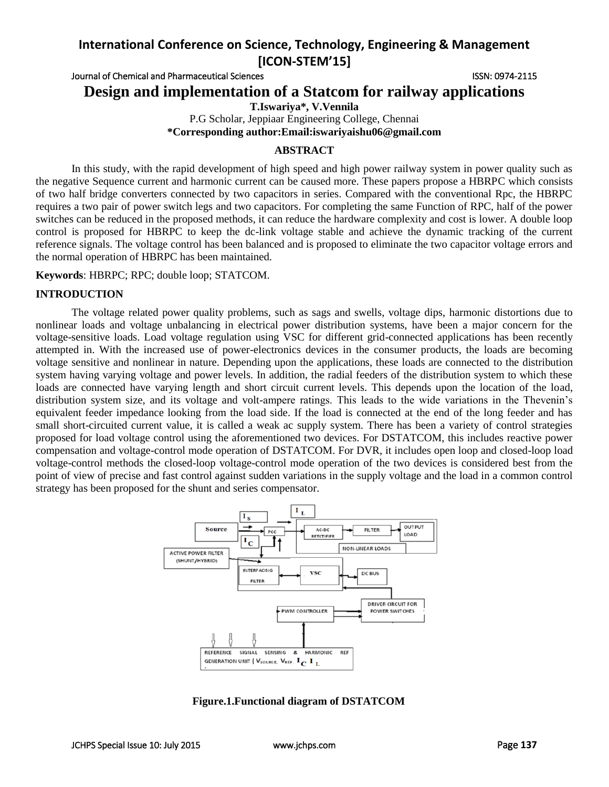Journal of Chemical and Pharmaceutical Sciences **ISSN: 0974-2115** ISSN: 0974-2115

**Design and implementation of a Statcom for railway applications**

**T.Iswariya\*, V.Vennila** P.G Scholar, Jeppiaar Engineering College, Chennai **\*Corresponding author:Email:iswariyaishu06@gmail.com**

# **ABSTRACT**

In this study, with the rapid development of high speed and high power railway system in power quality such as the negative Sequence current and harmonic current can be caused more. These papers propose a HBRPC which consists of two half bridge converters connected by two capacitors in series. Compared with the conventional Rpc, the HBRPC requires a two pair of power switch legs and two capacitors. For completing the same Function of RPC, half of the power switches can be reduced in the proposed methods, it can reduce the hardware complexity and cost is lower. A double loop control is proposed for HBRPC to keep the dc-link voltage stable and achieve the dynamic tracking of the current reference signals. The voltage control has been balanced and is proposed to eliminate the two capacitor voltage errors and the normal operation of HBRPC has been maintained.

**Keywords**: HBRPC; RPC; double loop; STATCOM.

## **INTRODUCTION**

The voltage related power quality problems, such as sags and swells, voltage dips, harmonic distortions due to nonlinear loads and voltage unbalancing in electrical power distribution systems, have been a major concern for the voltage-sensitive loads. Load voltage regulation using VSC for different grid-connected applications has been recently attempted in. With the increased use of power-electronics devices in the consumer products, the loads are becoming voltage sensitive and nonlinear in nature. Depending upon the applications, these loads are connected to the distribution system having varying voltage and power levels. In addition, the radial feeders of the distribution system to which these loads are connected have varying length and short circuit current levels. This depends upon the location of the load, distribution system size, and its voltage and volt-ampere ratings. This leads to the wide variations in the Thevenin's equivalent feeder impedance looking from the load side. If the load is connected at the end of the long feeder and has small short-circuited current value, it is called a weak ac supply system. There has been a variety of control strategies proposed for load voltage control using the aforementioned two devices. For DSTATCOM, this includes reactive power compensation and voltage-control mode operation of DSTATCOM. For DVR, it includes open loop and closed-loop load voltage-control methods the closed-loop voltage-control mode operation of the two devices is considered best from the point of view of precise and fast control against sudden variations in the supply voltage and the load in a common control strategy has been proposed for the shunt and series compensator.



**Figure.1.Functional diagram of DSTATCOM**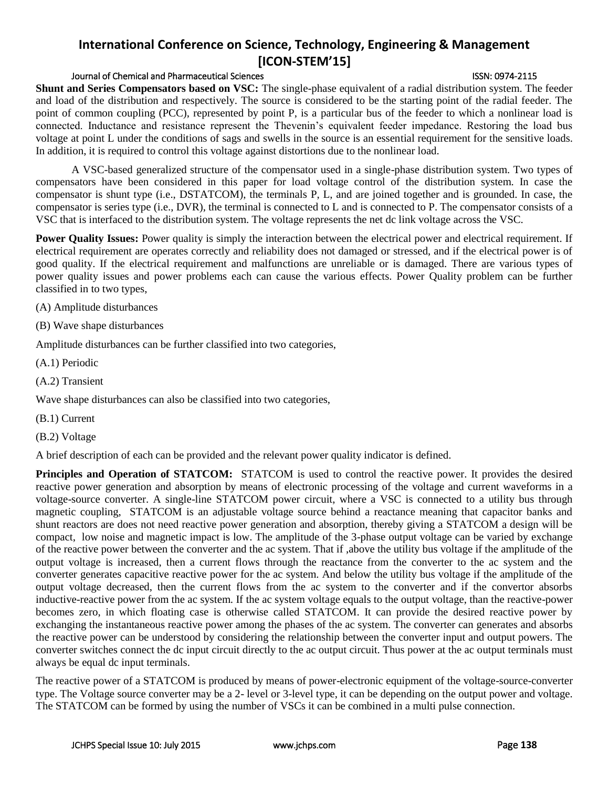## Journal of Chemical and Pharmaceutical Sciences ISSN: 0974-2115

**Shunt and Series Compensators based on VSC:** The single-phase equivalent of a radial distribution system. The feeder and load of the distribution and respectively. The source is considered to be the starting point of the radial feeder. The point of common coupling (PCC), represented by point P, is a particular bus of the feeder to which a nonlinear load is connected. Inductance and resistance represent the Thevenin's equivalent feeder impedance. Restoring the load bus voltage at point L under the conditions of sags and swells in the source is an essential requirement for the sensitive loads. In addition, it is required to control this voltage against distortions due to the nonlinear load.

A VSC-based generalized structure of the compensator used in a single-phase distribution system. Two types of compensators have been considered in this paper for load voltage control of the distribution system. In case the compensator is shunt type (i.e., DSTATCOM), the terminals P, L, and are joined together and is grounded. In case, the compensator is series type (i.e., DVR), the terminal is connected to L and is connected to P. The compensator consists of a VSC that is interfaced to the distribution system. The voltage represents the net dc link voltage across the VSC.

**Power Quality Issues:** Power quality is simply the interaction between the electrical power and electrical requirement. If electrical requirement are operates correctly and reliability does not damaged or stressed, and if the electrical power is of good quality. If the electrical requirement and malfunctions are unreliable or is damaged. There are various types of power quality issues and power problems each can cause the various effects. Power Quality problem can be further classified in to two types,

(A) Amplitude disturbances

(B) Wave shape disturbances

Amplitude disturbances can be further classified into two categories,

(A.1) Periodic

(A.2) Transient

Wave shape disturbances can also be classified into two categories,

(B.1) Current

(B.2) Voltage

A brief description of each can be provided and the relevant power quality indicator is defined.

**Principles and Operation of STATCOM:** STATCOM is used to control the reactive power. It provides the desired reactive power generation and absorption by means of electronic processing of the voltage and current waveforms in a voltage-source converter. A single-line STATCOM power circuit, where a VSC is connected to a utility bus through magnetic coupling, STATCOM is an adjustable voltage source behind a reactance meaning that capacitor banks and shunt reactors are does not need reactive power generation and absorption, thereby giving a STATCOM a design will be compact, low noise and magnetic impact is low. The amplitude of the 3-phase output voltage can be varied by exchange of the reactive power between the converter and the ac system. That if ,above the utility bus voltage if the amplitude of the output voltage is increased, then a current flows through the reactance from the converter to the ac system and the converter generates capacitive reactive power for the ac system. And below the utility bus voltage if the amplitude of the output voltage decreased, then the current flows from the ac system to the converter and if the convertor absorbs inductive-reactive power from the ac system. If the ac system voltage equals to the output voltage, than the reactive-power becomes zero, in which floating case is otherwise called STATCOM. It can provide the desired reactive power by exchanging the instantaneous reactive power among the phases of the ac system. The converter can generates and absorbs the reactive power can be understood by considering the relationship between the converter input and output powers. The converter switches connect the dc input circuit directly to the ac output circuit. Thus power at the ac output terminals must always be equal dc input terminals.

The reactive power of a STATCOM is produced by means of power-electronic equipment of the voltage-source-converter type. The Voltage source converter may be a 2- level or 3-level type, it can be depending on the output power and voltage. The STATCOM can be formed by using the number of VSCs it can be combined in a multi pulse connection.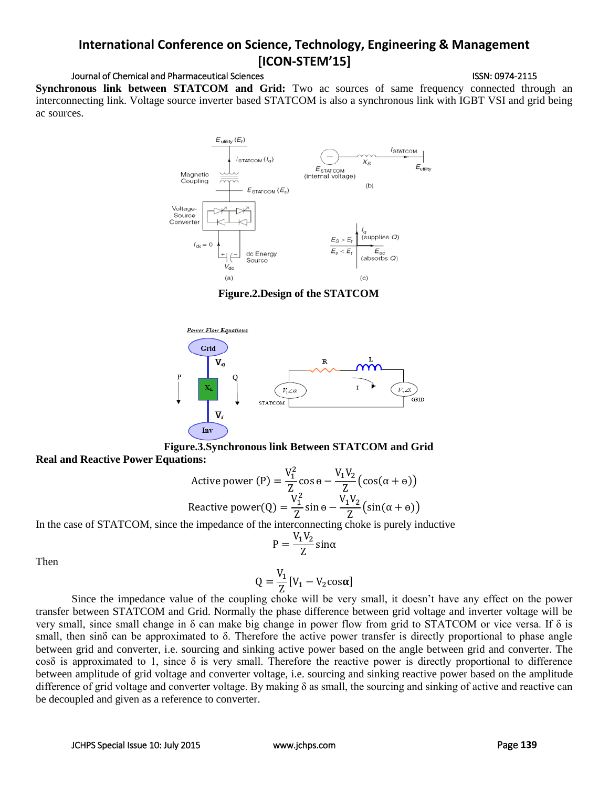## Journal of Chemical and Pharmaceutical Sciences **ISSN: 0974-2115** ISSN: 0974-2115

**Synchronous link between STATCOM and Grid:** Two ac sources of same frequency connected through an interconnecting link. Voltage source inverter based STATCOM is also a synchronous link with IGBT VSI and grid being ac sources.



**Figure.2.Design of the STATCOM**



**Figure.3.Synchronous link Between STATCOM and Grid Real and Reactive Power Equations:**

Active power (P) = 
$$
\frac{V_1^2}{Z} \cos \theta - \frac{V_1 V_2}{Z} (\cos(\alpha + \theta))
$$
  
Reactive power(Q) =  $\frac{V_1^2}{Z} \sin \theta - \frac{V_1 V_2}{Z} (\sin(\alpha + \theta))$ 

In the case of STATCOM, since the impedance of the interconnecting choke is purely inductive

$$
P = \frac{V_1 V_2}{Z} \text{sin}\alpha
$$

Then

$$
Q = \frac{V_1}{Z} [V_1 - V_2 \cos \alpha]
$$

Since the impedance value of the coupling choke will be very small, it doesn't have any effect on the power transfer between STATCOM and Grid. Normally the phase difference between grid voltage and inverter voltage will be very small, since small change in δ can make big change in power flow from grid to STATCOM or vice versa. If δ is small, then sinδ can be approximated to δ. Therefore the active power transfer is directly proportional to phase angle between grid and converter, i.e. sourcing and sinking active power based on the angle between grid and converter. The cos $\delta$  is approximated to 1, since  $\delta$  is very small. Therefore the reactive power is directly proportional to difference between amplitude of grid voltage and converter voltage, i.e. sourcing and sinking reactive power based on the amplitude difference of grid voltage and converter voltage. By making δ as small, the sourcing and sinking of active and reactive can be decoupled and given as a reference to converter.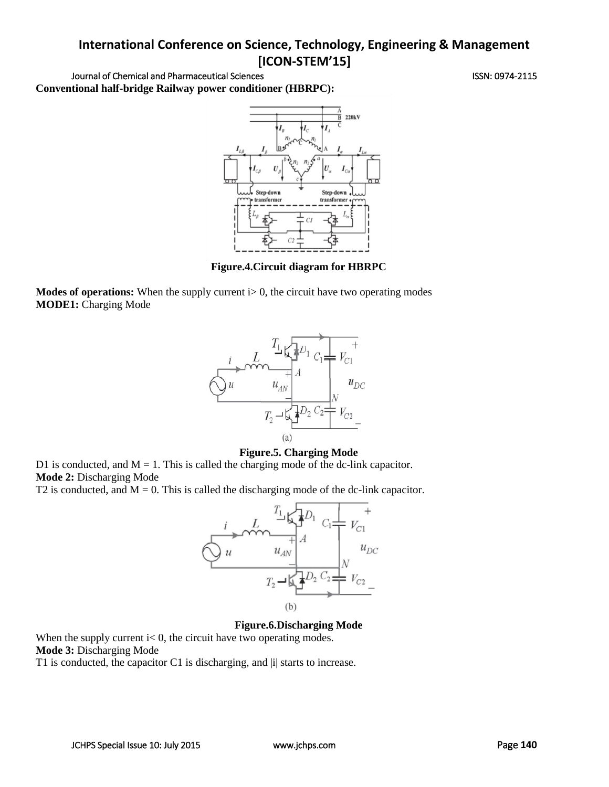Journal of Chemical and Pharmaceutical Sciences **ISSN: 0974-2115** ISSN: 0974-2115 **Conventional half-bridge Railway power conditioner (HBRPC):**



**Figure.4.Circuit diagram for HBRPC**

**Modes of operations:** When the supply current  $i>0$ , the circuit have two operating modes **MODE1:** Charging Mode



## **Figure.5. Charging Mode**

D1 is conducted, and  $M = 1$ . This is called the charging mode of the dc-link capacitor. **Mode 2:** Discharging Mode

T2 is conducted, and  $M = 0$ . This is called the discharging mode of the dc-link capacitor.



## **Figure.6.Discharging Mode**

When the supply current  $i < 0$ , the circuit have two operating modes. **Mode 3:** Discharging Mode

T1 is conducted, the capacitor C1 is discharging, and |i| starts to increase.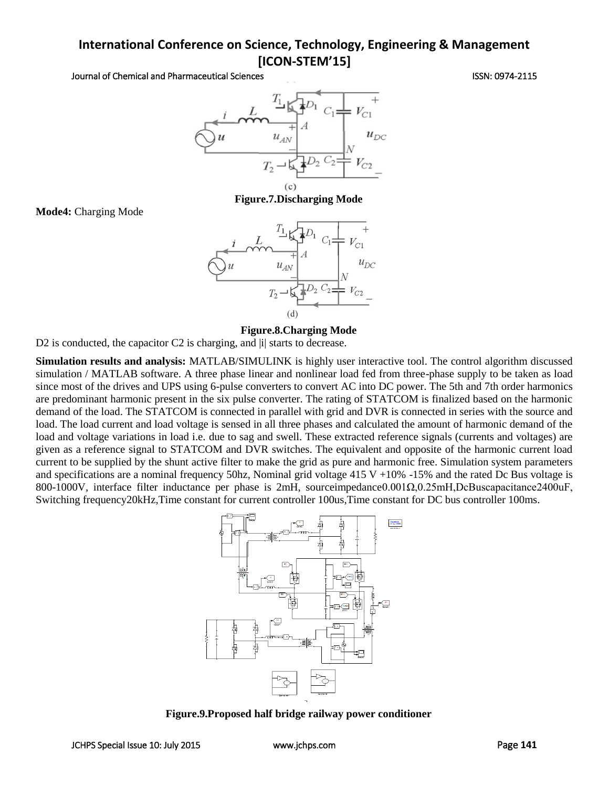Journal of Chemical and Pharmaceutical Sciences ISSN: 0974-2115



**Figure.7.Discharging Mode**

#### **Figure.8.Charging Mode**

D2 is conducted, the capacitor C2 is charging, and |i| starts to decrease.

**Simulation results and analysis:** MATLAB/SIMULINK is highly user interactive tool. The control algorithm discussed simulation / MATLAB software. A three phase linear and nonlinear load fed from three-phase supply to be taken as load since most of the drives and UPS using 6-pulse converters to convert AC into DC power. The 5th and 7th order harmonics are predominant harmonic present in the six pulse converter. The rating of STATCOM is finalized based on the harmonic demand of the load. The STATCOM is connected in parallel with grid and DVR is connected in series with the source and load. The load current and load voltage is sensed in all three phases and calculated the amount of harmonic demand of the load and voltage variations in load i.e. due to sag and swell. These extracted reference signals (currents and voltages) are given as a reference signal to STATCOM and DVR switches. The equivalent and opposite of the harmonic current load current to be supplied by the shunt active filter to make the grid as pure and harmonic free. Simulation system parameters and specifications are a nominal frequency 50hz, Nominal grid voltage  $415 \text{ V} + 10\%$  -15% and the rated Dc Bus voltage is 800-1000V, interface filter inductance per phase is 2mH, sourceimpedance0.001Ω,0.25mH,DcBuscapacitance2400uF, Switching frequency20kHz,Time constant for current controller 100us,Time constant for DC bus controller 100ms.



**Figure.9.Proposed half bridge railway power conditioner**

**Mode4:** Charging Mode